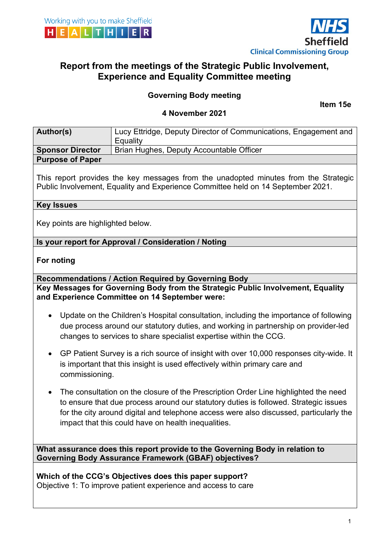



# **Report from the meetings of the Strategic Public Involvement, Experience and Equality Committee meeting**

# **Governing Body meeting**

**Item 15e**

#### **4 November 2021**

| Author(s)               | Lucy Ettridge, Deputy Director of Communications, Engagement and |
|-------------------------|------------------------------------------------------------------|
|                         | Equality                                                         |
| <b>Sponsor Director</b> | Brian Hughes, Deputy Accountable Officer                         |
| <b>Purpose of Paper</b> |                                                                  |

This report provides the key messages from the unadopted minutes from the Strategic Public Involvement, Equality and Experience Committee held on 14 September 2021.

#### **Key Issues**

Key points are highlighted below.

#### **Is your report for Approval / Consideration / Noting**

#### **For noting**

**Recommendations / Action Required by Governing Body Key Messages for Governing Body from the Strategic Public Involvement, Equality and Experience Committee on 14 September were:** 

- Update on the Children's Hospital consultation, including the importance of following due process around our statutory duties, and working in partnership on provider-led changes to services to share specialist expertise within the CCG.
- GP Patient Survey is a rich source of insight with over 10,000 responses city-wide. It is important that this insight is used effectively within primary care and commissioning.
- The consultation on the closure of the Prescription Order Line highlighted the need to ensure that due process around our statutory duties is followed. Strategic issues for the city around digital and telephone access were also discussed, particularly the impact that this could have on health inequalities.

**What assurance does this report provide to the Governing Body in relation to Governing Body Assurance Framework (GBAF) objectives?**

**Which of the CCG's Objectives does this paper support?**  Objective 1: To improve patient experience and access to care